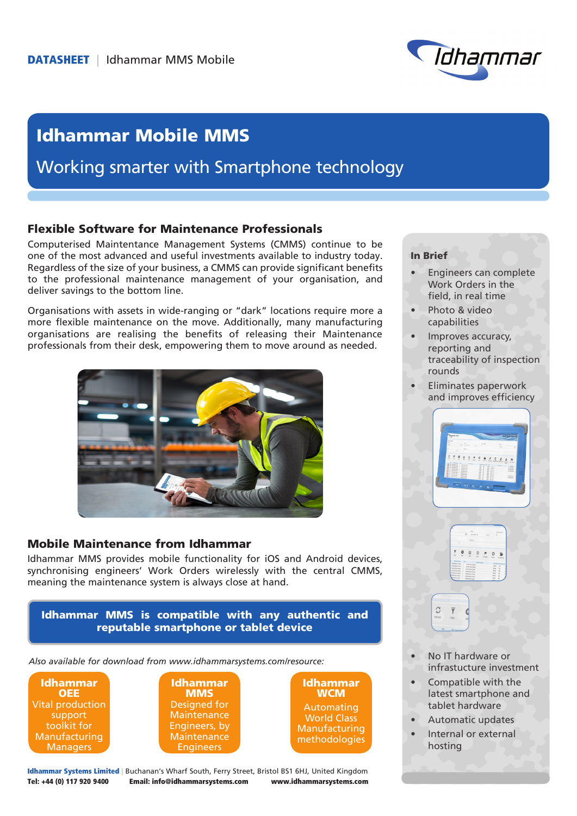

# Idhammar Mobile MMS

## Working smarter with Smartphone technology

#### Flexible Software for Maintenance Professionals

Computerised Maintentance Management Systems (CMMS) continue to be one of the most advanced and useful investments available to industry today. Regardless of the size of your business, a CMMS can provide significant benefits to the professional maintenance management of your organisation, and deliver savings to the bottom line.

Organisations with assets in wide-ranging or "dark" locations require more a more flexible maintenance on the move. Additionally, many manufacturing organisations are realising the benefits of releasing their Maintenance professionals from their desk, empowering them to move around as needed.



#### Mobile Maintenance from Idhammar

Idhammar MMS provides mobile functionality for iOS and Android devices, synchronising engineers' Work Orders wirelessly with the central CMMS, meaning the maintenance system is always close at hand.

Idhammar MMS is compatible with any authentic and reputable smartphone or tablet device

*Also available for download from www.idhammarsystems.com/resource:*

Idhammar **OEE** Vital production support toolkit for **Manufacturing Managers** 





Idhammar Systems Limited | Buchanan's Wharf South, Ferry Street, Bristol BS1 6HJ, United Kingdom Tel: +44 (0) 117 920 9400 Email: info@idhammarsystems.com www.idhammarsystems.com

#### In Brief

- **Engineers can complete** Work Orders in the field, in real time
- Photo & video capabilities
- Improves accuracy, reporting and traceability of inspection rounds
- Eliminates paperwork and improves efficiency



- No IT hardware or infrastucture investment
- Compatible with the latest smartphone and tablet hardware
- Automatic updates
- Internal or external hosting